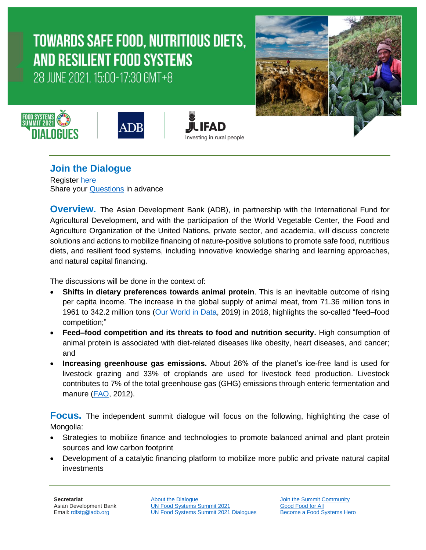## **TOWARDS SAFE FOOD, NUTRITIOUS DIETS, AND RESILIENT FOOD SYSTEMS**

28 JUNE 2021, 15:00-17:30 GMT+8









## **Join the Dialogue**

Register [here](http://bit.ly/Dialogue2021-SafeFood) Share your **Questions** in advance

**Overview.** The Asian Development Bank (ADB), in partnership with the International Fund for Agricultural Development, and with the participation of the World Vegetable Center, the Food and Agriculture Organization of the United Nations, private sector, and academia, will discuss concrete solutions and actions to mobilize financing of nature-positive solutions to promote safe food, nutritious diets, and resilient food systems, including innovative knowledge sharing and learning approaches, and natural capital financing.

The discussions will be done in the context of:

- **Shifts in dietary preferences towards animal protein**. This is an inevitable outcome of rising per capita income. The increase in the global supply of animal meat, from 71.36 million tons in 1961 to 342.2 million tons [\(Our World in Data,](https://ourworldindata.org/meat-production) 2019) in 2018, highlights the so-called "feed–food competition;"
- **Feed–food competition and its threats to food and nutrition security.** High consumption of animal protein is associated with diet-related diseases like obesity, heart diseases, and cancer; and
- **Increasing greenhouse gas emissions.** About 26% of the planet's ice-free land is used for livestock grazing and 33% of croplands are used for livestock feed production. Livestock contributes to 7% of the total greenhouse gas (GHG) emissions through enteric fermentation and manure [\(FAO,](http://www.fao.org/3/ar591e/ar591e.pdf) 2012).

**Focus.** The independent summit dialogue will focus on the following, highlighting the case of Mongolia:

- Strategies to mobilize finance and technologies to promote balanced animal and plant protein sources and low carbon footprint
- Development of a catalytic financing platform to mobilize more public and private natural capital investments

**[About the Dialogue](https://www.adb.org/news/events/towards-safe-food-nutritious-diets-resilient-food-systems)** [UN Food Systems Summit 2021](https://www.un.org/en/food-systems-summit) [UN Food Systems Summit 2021 Dialogues](https://www.un.org/en/food-systems-summit/dialogues)

**[Join the Summit Community](https://www.un.org/en/food-systems-summit/take-action#Join%20the%20Summit%20Community)** [Good Food for All](https://www.un.org/sites/un2.un.org/files/good_food_for_all_-_how_to_guide-lr.pdf) [Become a Food Systems Hero](https://www.un.org/en/food-systems-summit/take-action#Become%20a%20Food%20Systems%20Hero)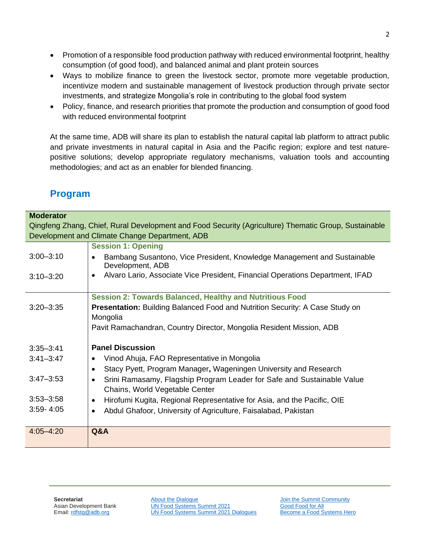- Promotion of a responsible food production pathway with reduced environmental footprint, healthy consumption (of good food), and balanced animal and plant protein sources
- Ways to mobilize finance to green the livestock sector, promote more vegetable production, incentivize modern and sustainable management of livestock production through private sector investments, and strategize Mongolia's role in contributing to the global food system
- Policy, finance, and research priorities that promote the production and consumption of good food with reduced environmental footprint

At the same time, ADB will share its plan to establish the natural capital lab platform to attract public and private investments in natural capital in Asia and the Pacific region; explore and test naturepositive solutions; develop appropriate regulatory mechanisms, valuation tools and accounting methodologies; and act as an enabler for blended financing.

## **Program**

| <b>Moderator</b>                                                                                     |                                                                                                          |  |
|------------------------------------------------------------------------------------------------------|----------------------------------------------------------------------------------------------------------|--|
| Qingfeng Zhang, Chief, Rural Development and Food Security (Agriculture) Thematic Group, Sustainable |                                                                                                          |  |
| Development and Climate Change Department, ADB                                                       |                                                                                                          |  |
|                                                                                                      | <b>Session 1: Opening</b>                                                                                |  |
| $3:00 - 3:10$                                                                                        | Bambang Susantono, Vice President, Knowledge Management and Sustainable<br>Development, ADB              |  |
| $3:10 - 3:20$                                                                                        | Alvaro Lario, Associate Vice President, Financial Operations Department, IFAD<br>$\bullet$               |  |
|                                                                                                      | <b>Session 2: Towards Balanced, Healthy and Nutritious Food</b>                                          |  |
| $3:20 - 3:35$                                                                                        | <b>Presentation: Building Balanced Food and Nutrition Security: A Case Study on</b>                      |  |
|                                                                                                      | Mongolia                                                                                                 |  |
|                                                                                                      | Pavit Ramachandran, Country Director, Mongolia Resident Mission, ADB                                     |  |
| $3:35 - 3:41$                                                                                        | <b>Panel Discussion</b>                                                                                  |  |
| $3:41 - 3:47$                                                                                        | Vinod Ahuja, FAO Representative in Mongolia<br>$\bullet$                                                 |  |
|                                                                                                      | Stacy Pyett, Program Manager, Wageningen University and Research<br>$\bullet$                            |  |
| $3:47 - 3:53$                                                                                        | Srini Ramasamy, Flagship Program Leader for Safe and Sustainable Value<br>Chains, World Vegetable Center |  |
| $3:53 - 3:58$                                                                                        | Hirofumi Kugita, Regional Representative for Asia, and the Pacific, OIE<br>$\bullet$                     |  |
| $3:59 - 4:05$                                                                                        | Abdul Ghafoor, University of Agriculture, Faisalabad, Pakistan<br>$\bullet$                              |  |
| $4:05 - 4:20$                                                                                        | Q&A                                                                                                      |  |
|                                                                                                      |                                                                                                          |  |

**[About the Dialogue](https://www.adb.org/news/events/towards-safe-food-nutritious-diets-resilient-food-systems)** [UN Food Systems Summit 2021](https://www.un.org/en/food-systems-summit) [UN Food Systems Summit 2021 Dialogues](https://www.un.org/en/food-systems-summit/dialogues) [Join the Summit Community](https://www.un.org/en/food-systems-summit/take-action#Join%20the%20Summit%20Community) [Good Food for All](https://www.un.org/sites/un2.un.org/files/good_food_for_all_-_how_to_guide-lr.pdf) [Become a Food Systems Hero](https://www.un.org/en/food-systems-summit/take-action#Become%20a%20Food%20Systems%20Hero)